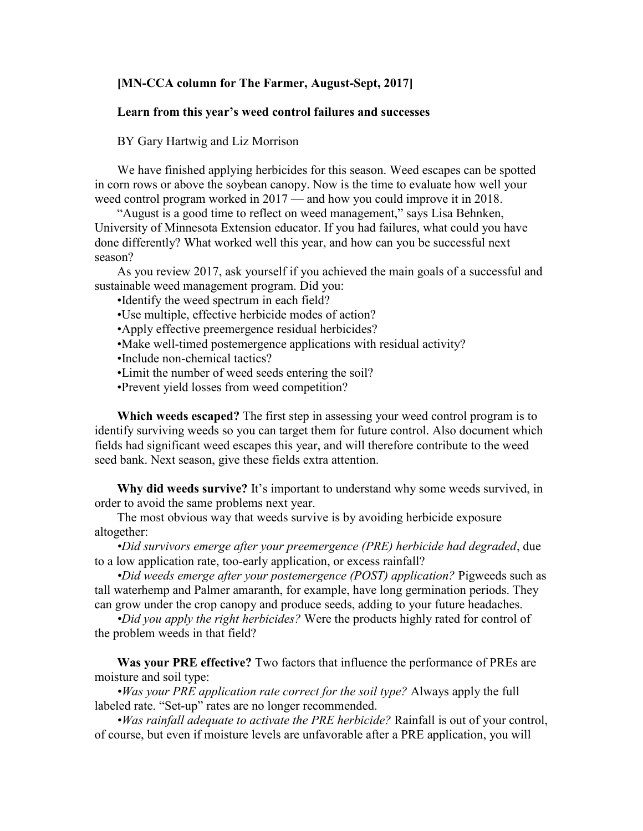## **[MN-CCA column for The Farmer, August-Sept, 2017]**

## **Learn from this year's weed control failures and successes**

BY Gary Hartwig and Liz Morrison

We have finished applying herbicides for this season. Weed escapes can be spotted in corn rows or above the soybean canopy. Now is the time to evaluate how well your weed control program worked in 2017 — and how you could improve it in 2018.

"August is a good time to reflect on weed management," says Lisa Behnken, University of Minnesota Extension educator. If you had failures, what could you have done differently? What worked well this year, and how can you be successful next season?

As you review 2017, ask yourself if you achieved the main goals of a successful and sustainable weed management program. Did you:

•Identify the weed spectrum in each field?

- •Use multiple, effective herbicide modes of action?
- •Apply effective preemergence residual herbicides?
- •Make well-timed postemergence applications with residual activity?
- •Include non-chemical tactics?
- •Limit the number of weed seeds entering the soil?
- •Prevent yield losses from weed competition?

**Which weeds escaped?** The first step in assessing your weed control program is to identify surviving weeds so you can target them for future control. Also document which fields had significant weed escapes this year, and will therefore contribute to the weed seed bank. Next season, give these fields extra attention.

**Why did weeds survive?** It's important to understand why some weeds survived, in order to avoid the same problems next year.

The most obvious way that weeds survive is by avoiding herbicide exposure altogether:

*•Did survivors emerge after your preemergence (PRE) herbicide had degraded*, due to a low application rate, too-early application, or excess rainfall?

*•Did weeds emerge after your postemergence (POST) application?* Pigweeds such as tall waterhemp and Palmer amaranth, for example, have long germination periods. They can grow under the crop canopy and produce seeds, adding to your future headaches.

*•Did you apply the right herbicides?* Were the products highly rated for control of the problem weeds in that field?

**Was your PRE effective?** Two factors that influence the performance of PREs are moisture and soil type:

*•Was your PRE application rate correct for the soil type?* Always apply the full labeled rate. "Set-up" rates are no longer recommended.

*•Was rainfall adequate to activate the PRE herbicide?* Rainfall is out of your control, of course, but even if moisture levels are unfavorable after a PRE application, you will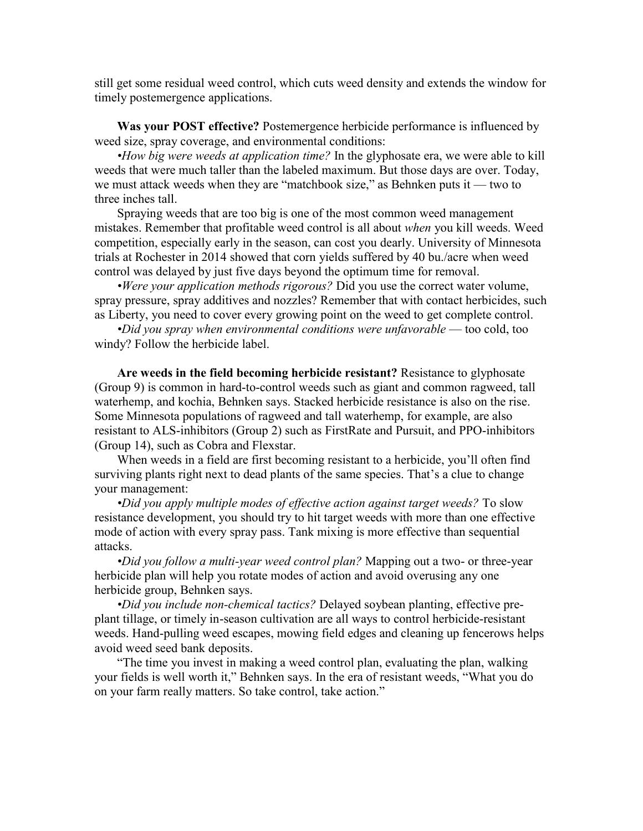still get some residual weed control, which cuts weed density and extends the window for timely postemergence applications.

**Was your POST effective?** Postemergence herbicide performance is influenced by weed size, spray coverage, and environmental conditions:

*•How big were weeds at application time?* In the glyphosate era, we were able to kill weeds that were much taller than the labeled maximum. But those days are over. Today, we must attack weeds when they are "matchbook size," as Behnken puts it — two to three inches tall.

Spraying weeds that are too big is one of the most common weed management mistakes. Remember that profitable weed control is all about *when* you kill weeds. Weed competition, especially early in the season, can cost you dearly. University of Minnesota trials at Rochester in 2014 showed that corn yields suffered by 40 bu./acre when weed control was delayed by just five days beyond the optimum time for removal.

*•Were your application methods rigorous?* Did you use the correct water volume, spray pressure, spray additives and nozzles? Remember that with contact herbicides, such as Liberty, you need to cover every growing point on the weed to get complete control.

*•Did you spray when environmental conditions were unfavorable* — too cold, too windy? Follow the herbicide label.

**Are weeds in the field becoming herbicide resistant?** Resistance to glyphosate (Group 9) is common in hard-to-control weeds such as giant and common ragweed, tall waterhemp, and kochia, Behnken says. Stacked herbicide resistance is also on the rise. Some Minnesota populations of ragweed and tall waterhemp, for example, are also resistant to ALS-inhibitors (Group 2) such as FirstRate and Pursuit, and PPO-inhibitors (Group 14), such as Cobra and Flexstar.

When weeds in a field are first becoming resistant to a herbicide, you'll often find surviving plants right next to dead plants of the same species. That's a clue to change your management:

*•Did you apply multiple modes of effective action against target weeds?* To slow resistance development, you should try to hit target weeds with more than one effective mode of action with every spray pass. Tank mixing is more effective than sequential attacks.

*•Did you follow a multi-year weed control plan?* Mapping out a two- or three-year herbicide plan will help you rotate modes of action and avoid overusing any one herbicide group, Behnken says.

*•Did you include non-chemical tactics?* Delayed soybean planting, effective preplant tillage, or timely in-season cultivation are all ways to control herbicide-resistant weeds. Hand-pulling weed escapes, mowing field edges and cleaning up fencerows helps avoid weed seed bank deposits.

"The time you invest in making a weed control plan, evaluating the plan, walking your fields is well worth it," Behnken says. In the era of resistant weeds, "What you do on your farm really matters. So take control, take action."